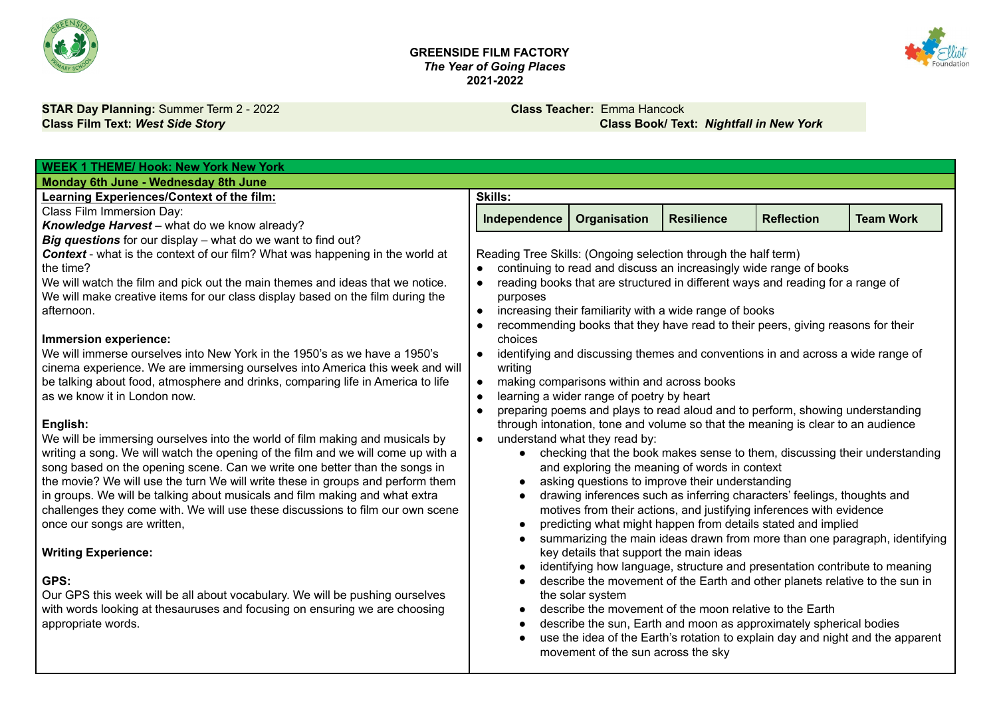



**STAR Day Planning:** Summer Term 2 - 2022 **Class Teacher:** Emma Hancock **Class Film Text:** *West Side Story* **Class Book/ Text:** *Nightfall in New York*

| <b>WEEK 1 THEME/ Hook: New York New York</b>                                                                                                                     |                                                                |                                            |                                                         |                                                                                 |                                                                                |
|------------------------------------------------------------------------------------------------------------------------------------------------------------------|----------------------------------------------------------------|--------------------------------------------|---------------------------------------------------------|---------------------------------------------------------------------------------|--------------------------------------------------------------------------------|
| Monday 6th June - Wednesday 8th June                                                                                                                             |                                                                |                                            |                                                         |                                                                                 |                                                                                |
| Learning Experiences/Context of the film:                                                                                                                        | <b>Skills:</b>                                                 |                                            |                                                         |                                                                                 |                                                                                |
| Class Film Immersion Day:                                                                                                                                        | Independence                                                   | Organisation                               | <b>Resilience</b>                                       | <b>Reflection</b>                                                               | <b>Team Work</b>                                                               |
| Knowledge Harvest - what do we know already?                                                                                                                     |                                                                |                                            |                                                         |                                                                                 |                                                                                |
| Big questions for our display - what do we want to find out?                                                                                                     |                                                                |                                            |                                                         |                                                                                 |                                                                                |
| <b>Context</b> - what is the context of our film? What was happening in the world at                                                                             | Reading Tree Skills: (Ongoing selection through the half term) |                                            |                                                         |                                                                                 |                                                                                |
| the time?                                                                                                                                                        |                                                                |                                            |                                                         | continuing to read and discuss an increasingly wide range of books              |                                                                                |
| We will watch the film and pick out the main themes and ideas that we notice.<br>We will make creative items for our class display based on the film during the  | $\bullet$                                                      |                                            |                                                         | reading books that are structured in different ways and reading for a range of  |                                                                                |
| afternoon.                                                                                                                                                       | purposes<br>$\bullet$                                          |                                            | increasing their familiarity with a wide range of books |                                                                                 |                                                                                |
|                                                                                                                                                                  | $\bullet$                                                      |                                            |                                                         | recommending books that they have read to their peers, giving reasons for their |                                                                                |
| Immersion experience:                                                                                                                                            | choices                                                        |                                            |                                                         |                                                                                 |                                                                                |
| We will immerse ourselves into New York in the 1950's as we have a 1950's                                                                                        | $\bullet$                                                      |                                            |                                                         | identifying and discussing themes and conventions in and across a wide range of |                                                                                |
| cinema experience. We are immersing ourselves into America this week and will                                                                                    | writing                                                        |                                            |                                                         |                                                                                 |                                                                                |
| be talking about food, atmosphere and drinks, comparing life in America to life                                                                                  | $\bullet$                                                      | making comparisons within and across books |                                                         |                                                                                 |                                                                                |
| as we know it in London now.                                                                                                                                     | $\bullet$                                                      | learning a wider range of poetry by heart  |                                                         |                                                                                 |                                                                                |
|                                                                                                                                                                  | $\bullet$                                                      |                                            |                                                         | preparing poems and plays to read aloud and to perform, showing understanding   |                                                                                |
| English:                                                                                                                                                         |                                                                |                                            |                                                         | through intonation, tone and volume so that the meaning is clear to an audience |                                                                                |
| We will be immersing ourselves into the world of film making and musicals by<br>writing a song. We will watch the opening of the film and we will come up with a | $\bullet$                                                      | understand what they read by:              |                                                         |                                                                                 | • checking that the book makes sense to them, discussing their understanding   |
| song based on the opening scene. Can we write one better than the songs in                                                                                       |                                                                |                                            | and exploring the meaning of words in context           |                                                                                 |                                                                                |
| the movie? We will use the turn We will write these in groups and perform them                                                                                   |                                                                |                                            | asking questions to improve their understanding         |                                                                                 |                                                                                |
| in groups. We will be talking about musicals and film making and what extra                                                                                      |                                                                |                                            |                                                         | drawing inferences such as inferring characters' feelings, thoughts and         |                                                                                |
| challenges they come with. We will use these discussions to film our own scene                                                                                   |                                                                |                                            |                                                         | motives from their actions, and justifying inferences with evidence             |                                                                                |
| once our songs are written,                                                                                                                                      |                                                                |                                            |                                                         | predicting what might happen from details stated and implied                    |                                                                                |
|                                                                                                                                                                  |                                                                |                                            |                                                         |                                                                                 | summarizing the main ideas drawn from more than one paragraph, identifying     |
| <b>Writing Experience:</b>                                                                                                                                       |                                                                | key details that support the main ideas    |                                                         |                                                                                 |                                                                                |
|                                                                                                                                                                  |                                                                |                                            |                                                         | identifying how language, structure and presentation contribute to meaning      |                                                                                |
| GPS:<br>Our GPS this week will be all about vocabulary. We will be pushing ourselves                                                                             |                                                                | the solar system                           |                                                         | describe the movement of the Earth and other planets relative to the sun in     |                                                                                |
| with words looking at thesauruses and focusing on ensuring we are choosing                                                                                       |                                                                |                                            | describe the movement of the moon relative to the Earth |                                                                                 |                                                                                |
| appropriate words.                                                                                                                                               |                                                                |                                            |                                                         | describe the sun, Earth and moon as approximately spherical bodies              |                                                                                |
|                                                                                                                                                                  |                                                                |                                            |                                                         |                                                                                 | use the idea of the Earth's rotation to explain day and night and the apparent |
|                                                                                                                                                                  |                                                                | movement of the sun across the sky         |                                                         |                                                                                 |                                                                                |
|                                                                                                                                                                  |                                                                |                                            |                                                         |                                                                                 |                                                                                |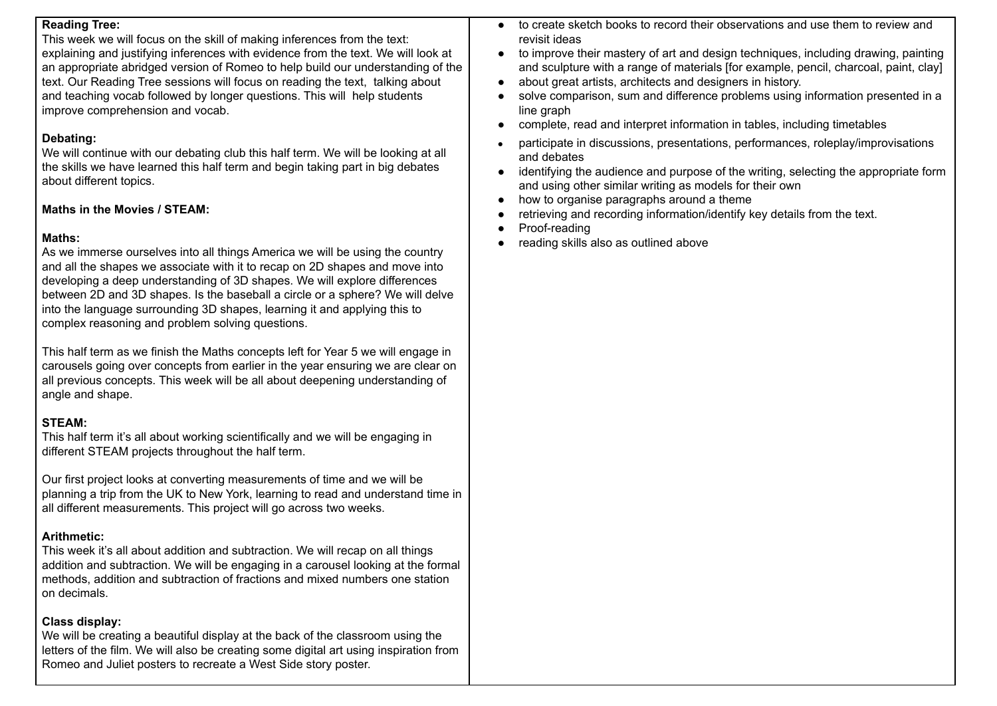### **Reading Tree:**

This week we will focus on the skill of making inferences from the text: explaining and justifying inferences with evidence from the text. We will look at an appropriate abridged version of Romeo to help build our understanding of the text. Our Reading Tree sessions will focus on reading the text, talking about and teaching vocab followed by longer questions. This will help students improve comprehension and vocab.

### **Debating:**

We will continue with our debating club this half term. We will be looking at all the skills we have learned this half term and begin taking part in big debates about different topics.

## **Maths in the Movies / STEAM:**

# **Maths:**

As we immerse ourselves into all things America we will be using the country and all the shapes we associate with it to recap on 2D shapes and move into developing a deep understanding of 3D shapes. We will explore differences between 2D and 3D shapes. Is the baseball a circle or a sphere? We will delve into the language surrounding 3D shapes, learning it and applying this to complex reasoning and problem solving questions.

This half term as we finish the Maths concepts left for Year 5 we will engage in carousels going over concepts from earlier in the year ensuring we are clear on all previous concepts. This week will be all about deepening understanding of angle and shape.

# **STEAM:**

This half term it's all about working scientifically and we will be engaging in different STEAM projects throughout the half term.

Our first project looks at converting measurements of time and we will be planning a trip from the UK to New York, learning to read and understand time in all different measurements. This project will go across two weeks.

# **Arithmetic:**

This week it's all about addition and subtraction. We will recap on all things addition and subtraction. We will be engaging in a carousel looking at the formal methods, addition and subtraction of fractions and mixed numbers one station on decimals.

# **Class display:**

We will be creating a beautiful display at the back of the classroom using the letters of the film. We will also be creating some digital art using inspiration from Romeo and Juliet posters to recreate a West Side story poster.

- to create sketch books to record their observations and use them to review and revisit ideas
- to improve their mastery of art and design techniques, including drawing, painting and sculpture with a range of materials [for example, pencil, charcoal, paint, clay]
- about great artists, architects and designers in history.
- solve comparison, sum and difference problems using information presented in a line graph
- complete, read and interpret information in tables, including timetables
- participate in discussions, presentations, performances, roleplay/improvisations and debates
- identifying the audience and purpose of the writing, selecting the appropriate form and using other similar writing as models for their own
- how to organise paragraphs around a theme
- retrieving and recording information/identify key details from the text.
- Proof-reading
- reading skills also as outlined above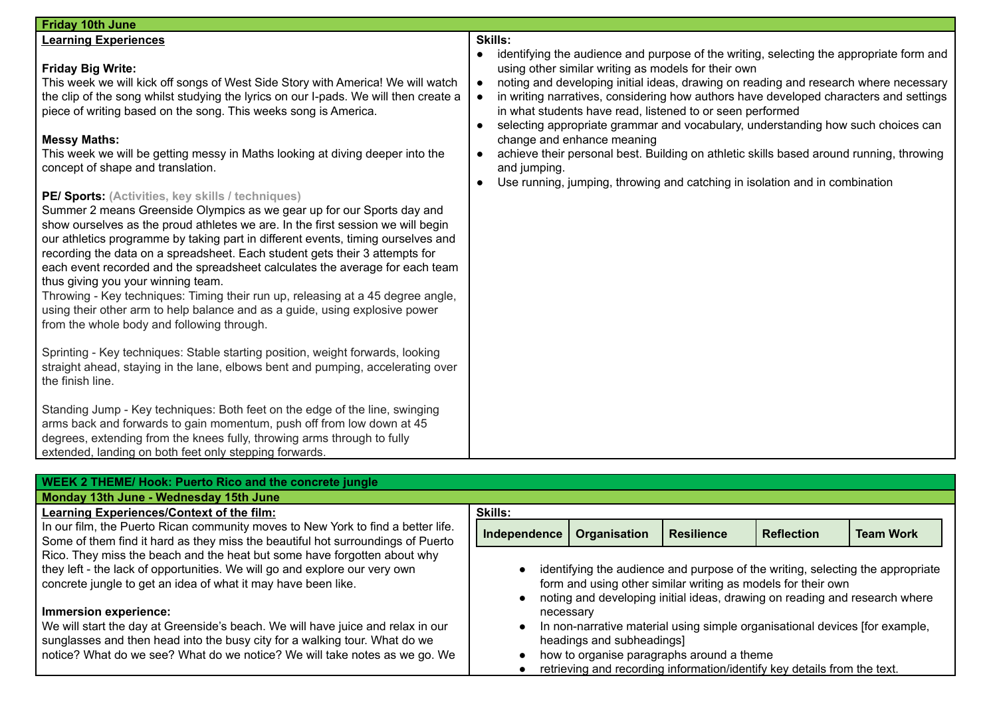| <b>WEEK 2 THEME/ Hook: Puerto Rico and the concrete jungle</b>                                                                                                                                                                                                       |                |                           |                                                                                                                                            |                   |                                                                                |
|----------------------------------------------------------------------------------------------------------------------------------------------------------------------------------------------------------------------------------------------------------------------|----------------|---------------------------|--------------------------------------------------------------------------------------------------------------------------------------------|-------------------|--------------------------------------------------------------------------------|
| Monday 13th June - Wednesday 15th June                                                                                                                                                                                                                               |                |                           |                                                                                                                                            |                   |                                                                                |
| Learning Experiences/Context of the film:                                                                                                                                                                                                                            | <b>Skills:</b> |                           |                                                                                                                                            |                   |                                                                                |
| In our film, the Puerto Rican community moves to New York to find a better life.<br>Some of them find it hard as they miss the beautiful hot surroundings of Puerto                                                                                                  | Independence   | <b>Organisation</b>       | <b>Resilience</b>                                                                                                                          | <b>Reflection</b> | <b>Team Work</b>                                                               |
| Rico. They miss the beach and the heat but some have forgotten about why<br>they left - the lack of opportunities. We will go and explore our very own<br>concrete jungle to get an idea of what it may have been like.                                              |                |                           | form and using other similar writing as models for their own<br>noting and developing initial ideas, drawing on reading and research where |                   | identifying the audience and purpose of the writing, selecting the appropriate |
| Immersion experience:<br>We will start the day at Greenside's beach. We will have juice and relax in our<br>sunglasses and then head into the busy city for a walking tour. What do we<br>notice? What do we see? What do we notice? We will take notes as we go. We | necessary      | headings and subheadings] | In non-narrative material using simple organisational devices [for example,<br>how to organise paragraphs around a theme                   |                   |                                                                                |
|                                                                                                                                                                                                                                                                      |                |                           | retrieving and recording information/identify key details from the text.                                                                   |                   |                                                                                |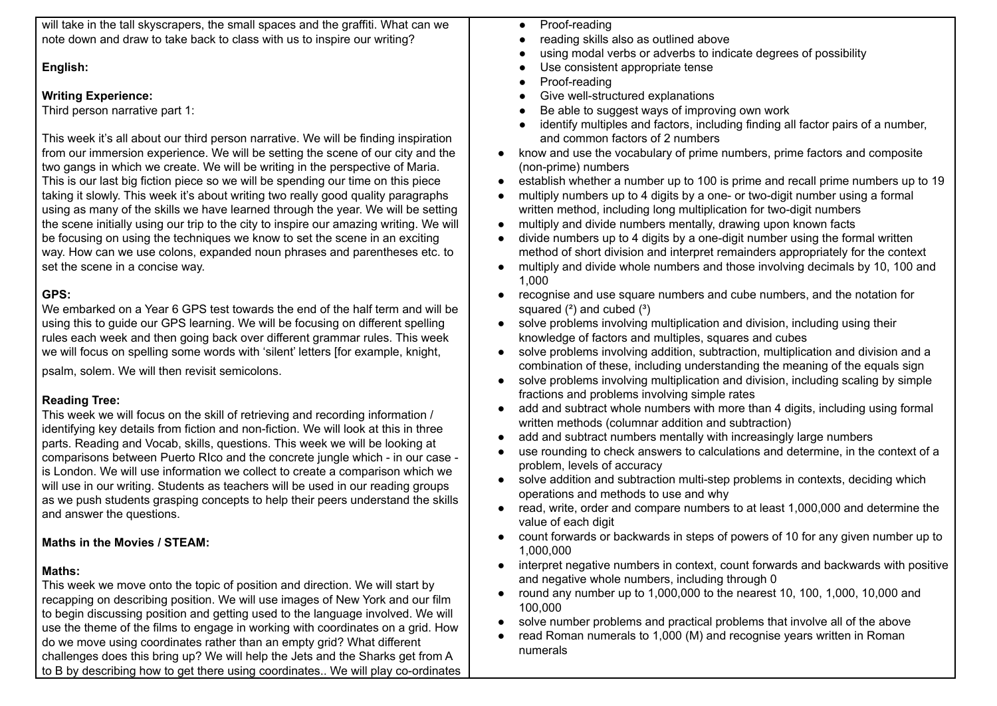| will take in the tall skyscrapers, the small spaces and the graffiti. What can we                                                                             | Proof-reading                                                                            |
|---------------------------------------------------------------------------------------------------------------------------------------------------------------|------------------------------------------------------------------------------------------|
| note down and draw to take back to class with us to inspire our writing?                                                                                      | reading skills also as outlined above                                                    |
|                                                                                                                                                               | using modal verbs or adverbs to indicate degrees of possibility                          |
| English:                                                                                                                                                      | Use consistent appropriate tense                                                         |
|                                                                                                                                                               | Proof-reading                                                                            |
| <b>Writing Experience:</b>                                                                                                                                    | Give well-structured explanations                                                        |
| Third person narrative part 1:                                                                                                                                | Be able to suggest ways of improving own work                                            |
|                                                                                                                                                               | identify multiples and factors, including finding all factor pairs of a number,          |
| This week it's all about our third person narrative. We will be finding inspiration                                                                           | and common factors of 2 numbers                                                          |
| from our immersion experience. We will be setting the scene of our city and the                                                                               | know and use the vocabulary of prime numbers, prime factors and composite                |
| two gangs in which we create. We will be writing in the perspective of Maria.                                                                                 | (non-prime) numbers                                                                      |
| This is our last big fiction piece so we will be spending our time on this piece                                                                              | establish whether a number up to 100 is prime and recall prime numbers up to 19          |
| taking it slowly. This week it's about writing two really good quality paragraphs                                                                             | multiply numbers up to 4 digits by a one- or two-digit number using a formal             |
| using as many of the skills we have learned through the year. We will be setting                                                                              | written method, including long multiplication for two-digit numbers                      |
|                                                                                                                                                               |                                                                                          |
| the scene initially using our trip to the city to inspire our amazing writing. We will                                                                        | multiply and divide numbers mentally, drawing upon known facts                           |
| be focusing on using the techniques we know to set the scene in an exciting                                                                                   | divide numbers up to 4 digits by a one-digit number using the formal written             |
| way. How can we use colons, expanded noun phrases and parentheses etc. to                                                                                     | method of short division and interpret remainders appropriately for the context          |
| set the scene in a concise way.                                                                                                                               | multiply and divide whole numbers and those involving decimals by 10, 100 and            |
|                                                                                                                                                               | 1,000                                                                                    |
| GPS:                                                                                                                                                          | recognise and use square numbers and cube numbers, and the notation for                  |
| We embarked on a Year 6 GPS test towards the end of the half term and will be                                                                                 | squared $(2)$ and cubed $(3)$                                                            |
| using this to guide our GPS learning. We will be focusing on different spelling                                                                               | solve problems involving multiplication and division, including using their<br>$\bullet$ |
| rules each week and then going back over different grammar rules. This week                                                                                   | knowledge of factors and multiples, squares and cubes                                    |
| we will focus on spelling some words with 'silent' letters [for example, knight,                                                                              | solve problems involving addition, subtraction, multiplication and division and a        |
| psalm, solem. We will then revisit semicolons.                                                                                                                | combination of these, including understanding the meaning of the equals sign             |
|                                                                                                                                                               | solve problems involving multiplication and division, including scaling by simple        |
| <b>Reading Tree:</b>                                                                                                                                          | fractions and problems involving simple rates                                            |
| This week we will focus on the skill of retrieving and recording information /                                                                                | add and subtract whole numbers with more than 4 digits, including using formal           |
| identifying key details from fiction and non-fiction. We will look at this in three                                                                           | written methods (columnar addition and subtraction)                                      |
| parts. Reading and Vocab, skills, questions. This week we will be looking at                                                                                  | add and subtract numbers mentally with increasingly large numbers                        |
| comparisons between Puerto RIco and the concrete jungle which - in our case -                                                                                 | use rounding to check answers to calculations and determine, in the context of a         |
| is London. We will use information we collect to create a comparison which we                                                                                 | problem, levels of accuracy                                                              |
| will use in our writing. Students as teachers will be used in our reading groups                                                                              | solve addition and subtraction multi-step problems in contexts, deciding which           |
| as we push students grasping concepts to help their peers understand the skills                                                                               | operations and methods to use and why                                                    |
| and answer the questions.                                                                                                                                     | read, write, order and compare numbers to at least 1,000,000 and determine the           |
|                                                                                                                                                               | value of each digit                                                                      |
| Maths in the Movies / STEAM:                                                                                                                                  | count forwards or backwards in steps of powers of 10 for any given number up to          |
|                                                                                                                                                               | 1,000,000                                                                                |
| Maths:                                                                                                                                                        | interpret negative numbers in context, count forwards and backwards with positive        |
|                                                                                                                                                               | and negative whole numbers, including through 0                                          |
| This week we move onto the topic of position and direction. We will start by<br>recapping on describing position. We will use images of New York and our film | round any number up to 1,000,000 to the nearest 10, 100, 1,000, 10,000 and               |
|                                                                                                                                                               | 100,000                                                                                  |
| to begin discussing position and getting used to the language involved. We will                                                                               | solve number problems and practical problems that involve all of the above               |
| use the theme of the films to engage in working with coordinates on a grid. How                                                                               | read Roman numerals to 1,000 (M) and recognise years written in Roman                    |
| do we move using coordinates rather than an empty grid? What different                                                                                        | numerals                                                                                 |
| challenges does this bring up? We will help the Jets and the Sharks get from A                                                                                |                                                                                          |
| to B by describing how to get there using coordinates We will play co-ordinates                                                                               |                                                                                          |
|                                                                                                                                                               |                                                                                          |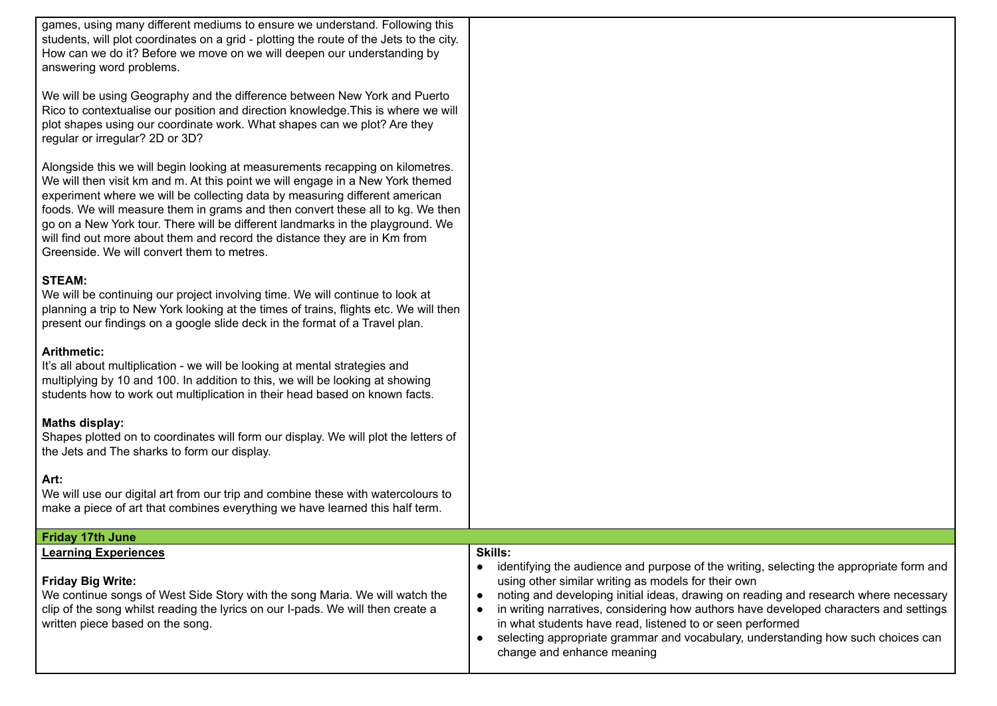games, using many different mediums to ensure we understand. Following this students, will plot coordinates on a grid - plotting the route of the Jets to the city. How can we do it? Before we move on we will deepen our understanding by answering word problems.

We will be using Geography and the difference between New York and Puerto Rico to contextualise our position and direction knowledge.This is where we will plot shapes using our coordinate work. What shapes can we plot? Are they regular or irregular? 2D or 3D?

Alongside this we will begin looking at measurements recapping on kilometres. We will then visit km and m. At this point we will engage in a New York themed experiment where we will be collecting data by measuring different american foods. We will measure them in grams and then convert these all to kg. We then go on a New York tour. There will be different landmarks in the playground. We will find out more about them and record the distance they are in Km from Greenside. We will convert them to metres.

#### **STEAM:**

We will be continuing our project involving time. We will continue to look at planning a trip to New York looking at the times of trains, flights etc. We will then present our findings on a google slide deck in the format of a Travel plan.

#### **Arithmetic:**

It's all about multiplication - we will be looking at mental strategies and multiplying by 10 and 100. In addition to this, we will be looking at showing students how to work out multiplication in their head based on known facts.

#### **Maths display:**

Shapes plotted on to coordinates will form our display. We will plot the letters of the Jets and The sharks to form our display.

#### **Art:**

We will use our digital art from our trip and combine these with watercolours to make a piece of art that combines everything we have learned this half term.

| <b>Friday 17th June</b>                                                                                                                                                                                                                                       |                                                                                                                                                                                                                                                                                                                                                                                                                                                                                                                                  |  |  |  |  |
|---------------------------------------------------------------------------------------------------------------------------------------------------------------------------------------------------------------------------------------------------------------|----------------------------------------------------------------------------------------------------------------------------------------------------------------------------------------------------------------------------------------------------------------------------------------------------------------------------------------------------------------------------------------------------------------------------------------------------------------------------------------------------------------------------------|--|--|--|--|
| <b>Learning Experiences</b><br><b>Friday Big Write:</b><br>We continue songs of West Side Story with the song Maria. We will watch the<br>clip of the song whilst reading the lyrics on our I-pads. We will then create a<br>written piece based on the song. | <b>Skills:</b><br>identifying the audience and purpose of the writing, selecting the appropriate form and<br>using other similar writing as models for their own<br>noting and developing initial ideas, drawing on reading and research where necessary<br>in writing narratives, considering how authors have developed characters and settings<br>in what students have read, listened to or seen performed<br>selecting appropriate grammar and vocabulary, understanding how such choices can<br>change and enhance meaning |  |  |  |  |
|                                                                                                                                                                                                                                                               |                                                                                                                                                                                                                                                                                                                                                                                                                                                                                                                                  |  |  |  |  |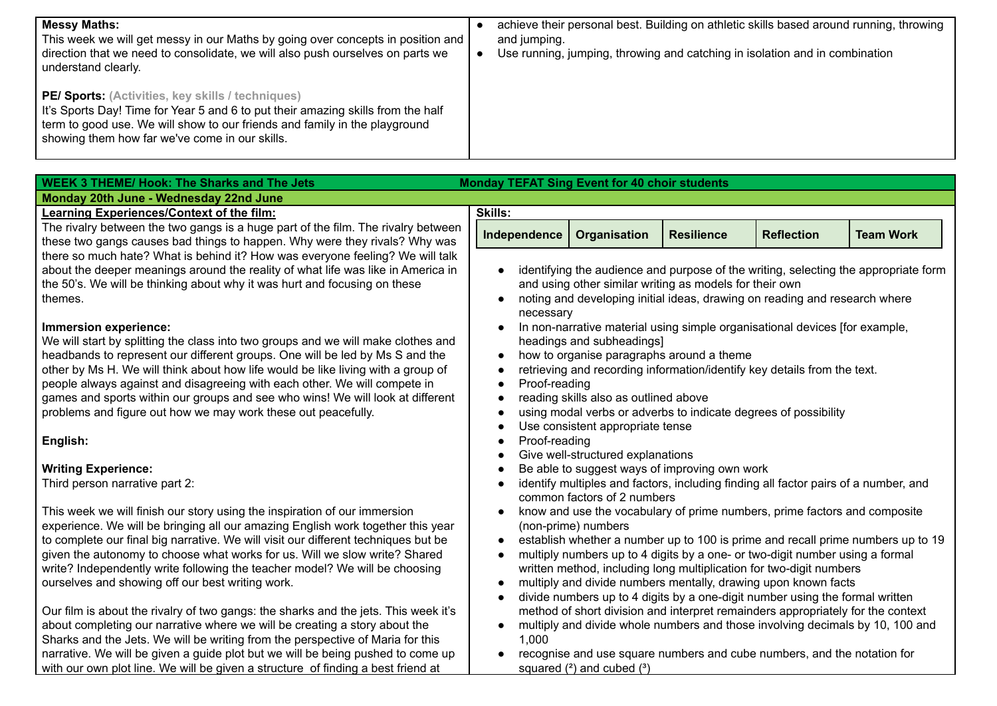| <b>Messy Maths:</b><br>This week we will get messy in our Maths by going over concepts in position and<br>direction that we need to consolidate, we will also push ourselves on parts we<br>understand clearly.                                                              | achieve their personal best. Building on athletic skills based around running, throwing<br>and jumping.<br>Use running, jumping, throwing and catching in isolation and in combination |
|------------------------------------------------------------------------------------------------------------------------------------------------------------------------------------------------------------------------------------------------------------------------------|----------------------------------------------------------------------------------------------------------------------------------------------------------------------------------------|
| <b>PE/ Sports:</b> (Activities, key skills / techniques)<br>It's Sports Day! Time for Year 5 and 6 to put their amazing skills from the half<br>term to good use. We will show to our friends and family in the playground<br>showing them how far we've come in our skills. |                                                                                                                                                                                        |

| <b>WEEK 3 THEME/ Hook: The Sharks and The Jets</b><br><b>Monday TEFAT Sing Event for 40 choir students</b>                      |                |                                           |                                                         |                                                                                                                                       |                                                                                     |
|---------------------------------------------------------------------------------------------------------------------------------|----------------|-------------------------------------------|---------------------------------------------------------|---------------------------------------------------------------------------------------------------------------------------------------|-------------------------------------------------------------------------------------|
| Monday 20th June - Wednesday 22nd June                                                                                          |                |                                           |                                                         |                                                                                                                                       |                                                                                     |
| Learning Experiences/Context of the film:                                                                                       | <b>Skills:</b> |                                           |                                                         |                                                                                                                                       |                                                                                     |
| The rivalry between the two gangs is a huge part of the film. The rivalry between                                               | Independence   | <b>Organisation</b>                       | <b>Resilience</b>                                       | <b>Reflection</b>                                                                                                                     | <b>Team Work</b>                                                                    |
| these two gangs causes bad things to happen. Why were they rivals? Why was                                                      |                |                                           |                                                         |                                                                                                                                       |                                                                                     |
| there so much hate? What is behind it? How was everyone feeling? We will talk                                                   |                |                                           |                                                         |                                                                                                                                       |                                                                                     |
| about the deeper meanings around the reality of what life was like in America in                                                |                |                                           |                                                         |                                                                                                                                       | identifying the audience and purpose of the writing, selecting the appropriate form |
| the 50's. We will be thinking about why it was hurt and focusing on these                                                       |                |                                           | and using other similar writing as models for their own |                                                                                                                                       |                                                                                     |
| themes.                                                                                                                         |                |                                           |                                                         | noting and developing initial ideas, drawing on reading and research where                                                            |                                                                                     |
|                                                                                                                                 | necessary      |                                           |                                                         |                                                                                                                                       |                                                                                     |
| Immersion experience:                                                                                                           |                |                                           |                                                         | In non-narrative material using simple organisational devices [for example,                                                           |                                                                                     |
| We will start by splitting the class into two groups and we will make clothes and                                               |                | headings and subheadings]                 |                                                         |                                                                                                                                       |                                                                                     |
| headbands to represent our different groups. One will be led by Ms S and the                                                    | $\bullet$      | how to organise paragraphs around a theme |                                                         |                                                                                                                                       |                                                                                     |
| other by Ms H. We will think about how life would be like living with a group of                                                |                |                                           |                                                         | retrieving and recording information/identify key details from the text.                                                              |                                                                                     |
| people always against and disagreeing with each other. We will compete in                                                       | Proof-reading  |                                           |                                                         |                                                                                                                                       |                                                                                     |
| games and sports within our groups and see who wins! We will look at different                                                  |                | reading skills also as outlined above     |                                                         |                                                                                                                                       |                                                                                     |
| problems and figure out how we may work these out peacefully.                                                                   |                |                                           |                                                         | using modal verbs or adverbs to indicate degrees of possibility                                                                       |                                                                                     |
|                                                                                                                                 |                | Use consistent appropriate tense          |                                                         |                                                                                                                                       |                                                                                     |
| English:                                                                                                                        | Proof-reading  |                                           |                                                         |                                                                                                                                       |                                                                                     |
|                                                                                                                                 |                | Give well-structured explanations         |                                                         |                                                                                                                                       |                                                                                     |
| <b>Writing Experience:</b>                                                                                                      |                |                                           | Be able to suggest ways of improving own work           |                                                                                                                                       |                                                                                     |
| Third person narrative part 2:                                                                                                  |                |                                           |                                                         | identify multiples and factors, including finding all factor pairs of a number, and                                                   |                                                                                     |
|                                                                                                                                 |                | common factors of 2 numbers               |                                                         |                                                                                                                                       |                                                                                     |
| This week we will finish our story using the inspiration of our immersion                                                       |                |                                           |                                                         | know and use the vocabulary of prime numbers, prime factors and composite                                                             |                                                                                     |
| experience. We will be bringing all our amazing English work together this year                                                 |                | (non-prime) numbers                       |                                                         |                                                                                                                                       |                                                                                     |
| to complete our final big narrative. We will visit our different techniques but be                                              | $\bullet$      |                                           |                                                         |                                                                                                                                       | establish whether a number up to 100 is prime and recall prime numbers up to 19     |
| given the autonomy to choose what works for us. Will we slow write? Shared                                                      |                |                                           |                                                         | multiply numbers up to 4 digits by a one- or two-digit number using a formal                                                          |                                                                                     |
| write? Independently write following the teacher model? We will be choosing<br>ourselves and showing off our best writing work. |                |                                           |                                                         | written method, including long multiplication for two-digit numbers<br>multiply and divide numbers mentally, drawing upon known facts |                                                                                     |
|                                                                                                                                 |                |                                           |                                                         | divide numbers up to 4 digits by a one-digit number using the formal written                                                          |                                                                                     |
| Our film is about the rivalry of two gangs: the sharks and the jets. This week it's                                             |                |                                           |                                                         | method of short division and interpret remainders appropriately for the context                                                       |                                                                                     |
| about completing our narrative where we will be creating a story about the                                                      |                |                                           |                                                         | multiply and divide whole numbers and those involving decimals by 10, 100 and                                                         |                                                                                     |
| Sharks and the Jets. We will be writing from the perspective of Maria for this                                                  | 1,000          |                                           |                                                         |                                                                                                                                       |                                                                                     |
| narrative. We will be given a guide plot but we will be being pushed to come up                                                 |                |                                           |                                                         | recognise and use square numbers and cube numbers, and the notation for                                                               |                                                                                     |
| with our own plot line. We will be given a structure of finding a best friend at                                                |                | squared $(2)$ and cubed $(3)$             |                                                         |                                                                                                                                       |                                                                                     |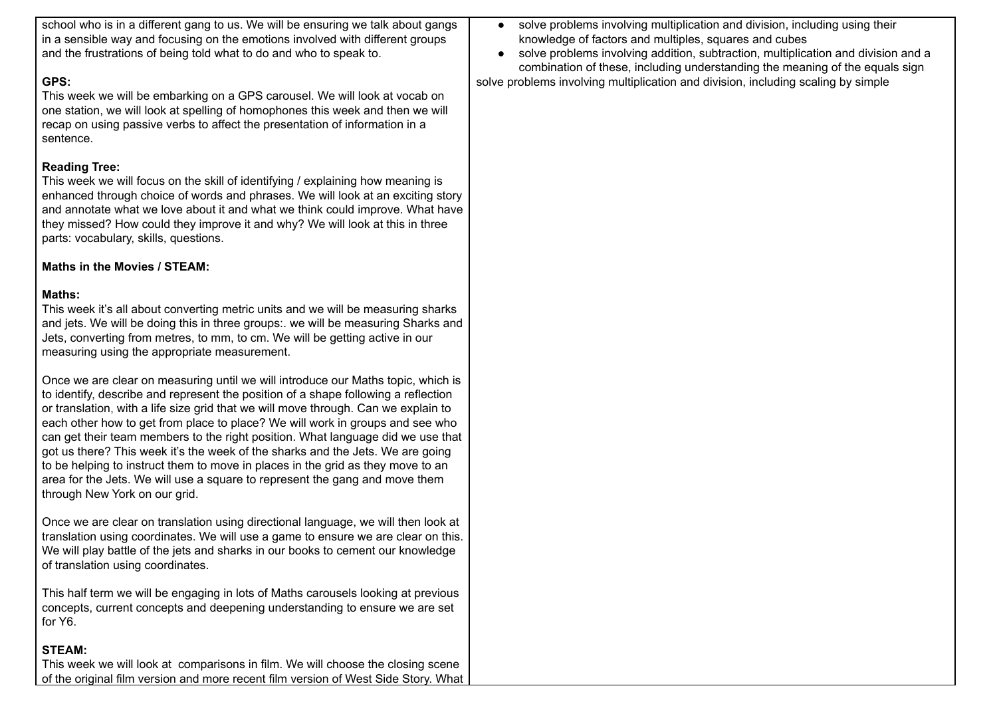| school who is in a different gang to us. We will be ensuring we talk about gangs<br>in a sensible way and focusing on the emotions involved with different groups<br>and the frustrations of being told what to do and who to speak to.                                                                                                                                                                                                                                                                                                                                                                                                                                                                               | • solve problems involving multiplication and division, including using their<br>knowledge of factors and multiples, squares and cubes<br>solve problems involving addition, subtraction, multiplication and division and a<br>combination of these, including understanding the meaning of the equals sign |
|-----------------------------------------------------------------------------------------------------------------------------------------------------------------------------------------------------------------------------------------------------------------------------------------------------------------------------------------------------------------------------------------------------------------------------------------------------------------------------------------------------------------------------------------------------------------------------------------------------------------------------------------------------------------------------------------------------------------------|-------------------------------------------------------------------------------------------------------------------------------------------------------------------------------------------------------------------------------------------------------------------------------------------------------------|
| GPS:<br>This week we will be embarking on a GPS carousel. We will look at vocab on<br>one station, we will look at spelling of homophones this week and then we will<br>recap on using passive verbs to affect the presentation of information in a<br>sentence.                                                                                                                                                                                                                                                                                                                                                                                                                                                      | solve problems involving multiplication and division, including scaling by simple                                                                                                                                                                                                                           |
| <b>Reading Tree:</b><br>This week we will focus on the skill of identifying / explaining how meaning is<br>enhanced through choice of words and phrases. We will look at an exciting story<br>and annotate what we love about it and what we think could improve. What have<br>they missed? How could they improve it and why? We will look at this in three<br>parts: vocabulary, skills, questions.                                                                                                                                                                                                                                                                                                                 |                                                                                                                                                                                                                                                                                                             |
| Maths in the Movies / STEAM:                                                                                                                                                                                                                                                                                                                                                                                                                                                                                                                                                                                                                                                                                          |                                                                                                                                                                                                                                                                                                             |
| Maths:<br>This week it's all about converting metric units and we will be measuring sharks<br>and jets. We will be doing this in three groups:. we will be measuring Sharks and<br>Jets, converting from metres, to mm, to cm. We will be getting active in our<br>measuring using the appropriate measurement.                                                                                                                                                                                                                                                                                                                                                                                                       |                                                                                                                                                                                                                                                                                                             |
| Once we are clear on measuring until we will introduce our Maths topic, which is<br>to identify, describe and represent the position of a shape following a reflection<br>or translation, with a life size grid that we will move through. Can we explain to<br>each other how to get from place to place? We will work in groups and see who<br>can get their team members to the right position. What language did we use that<br>got us there? This week it's the week of the sharks and the Jets. We are going<br>to be helping to instruct them to move in places in the grid as they move to an<br>area for the Jets. We will use a square to represent the gang and move them<br>through New York on our grid. |                                                                                                                                                                                                                                                                                                             |
| Once we are clear on translation using directional language, we will then look at<br>translation using coordinates. We will use a game to ensure we are clear on this.<br>We will play battle of the jets and sharks in our books to cement our knowledge<br>of translation using coordinates.                                                                                                                                                                                                                                                                                                                                                                                                                        |                                                                                                                                                                                                                                                                                                             |
| This half term we will be engaging in lots of Maths carousels looking at previous<br>concepts, current concepts and deepening understanding to ensure we are set<br>for Y6.                                                                                                                                                                                                                                                                                                                                                                                                                                                                                                                                           |                                                                                                                                                                                                                                                                                                             |
| <b>STEAM:</b><br>This week we will look at comparisons in film. We will choose the closing scene<br>of the original film version and more recent film version of West Side Story. What                                                                                                                                                                                                                                                                                                                                                                                                                                                                                                                                |                                                                                                                                                                                                                                                                                                             |

r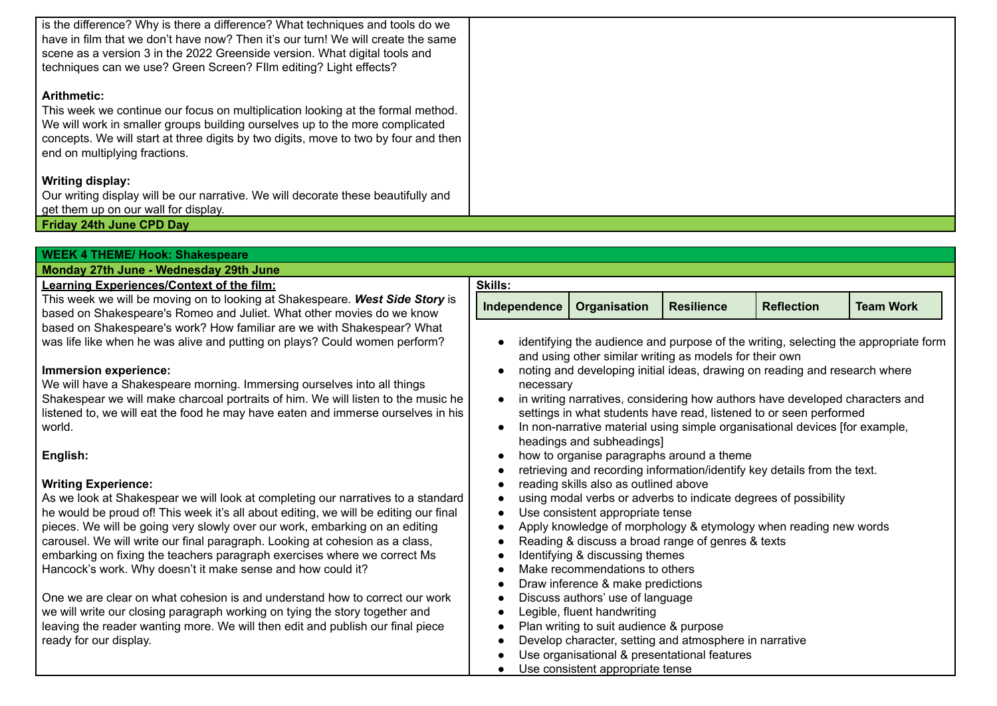| is the difference? Why is there a difference? What techniques and tools do we<br>I have in film that we don't have now? Then it's our turn! We will create the same<br>scene as a version 3 in the 2022 Greenside version. What digital tools and<br>techniques can we use? Green Screen? Fllm editing? Light effects? |  |
|------------------------------------------------------------------------------------------------------------------------------------------------------------------------------------------------------------------------------------------------------------------------------------------------------------------------|--|
| <b>Arithmetic:</b><br>This week we continue our focus on multiplication looking at the formal method.<br>We will work in smaller groups building ourselves up to the more complicated<br>concepts. We will start at three digits by two digits, move to two by four and then<br>end on multiplying fractions.          |  |
| Writing display:                                                                                                                                                                                                                                                                                                       |  |
| Our writing display will be our narrative. We will decorate these beautifully and<br>get them up on our wall for display.                                                                                                                                                                                              |  |
| <b>Friday 24th June CPD Day</b>                                                                                                                                                                                                                                                                                        |  |

| <b>WEEK 4 THEME/ Hook: Shakespeare</b>                                               |                |                                         |                                                                              |                   |                                                                                     |
|--------------------------------------------------------------------------------------|----------------|-----------------------------------------|------------------------------------------------------------------------------|-------------------|-------------------------------------------------------------------------------------|
| Monday 27th June - Wednesday 29th June                                               |                |                                         |                                                                              |                   |                                                                                     |
| Learning Experiences/Context of the film:                                            | <b>Skills:</b> |                                         |                                                                              |                   |                                                                                     |
| This week we will be moving on to looking at Shakespeare. West Side Story is         | Independence   | Organisation                            | <b>Resilience</b>                                                            | <b>Reflection</b> | <b>Team Work</b>                                                                    |
| based on Shakespeare's Romeo and Juliet. What other movies do we know                |                |                                         |                                                                              |                   |                                                                                     |
| based on Shakespeare's work? How familiar are we with Shakespear? What               |                |                                         |                                                                              |                   |                                                                                     |
| was life like when he was alive and putting on plays? Could women perform?           |                |                                         |                                                                              |                   | identifying the audience and purpose of the writing, selecting the appropriate form |
|                                                                                      |                |                                         | and using other similar writing as models for their own                      |                   |                                                                                     |
| Immersion experience:                                                                |                |                                         | noting and developing initial ideas, drawing on reading and research where   |                   |                                                                                     |
| We will have a Shakespeare morning. Immersing ourselves into all things              | necessary      |                                         |                                                                              |                   |                                                                                     |
| Shakespear we will make charcoal portraits of him. We will listen to the music he    |                |                                         | in writing narratives, considering how authors have developed characters and |                   |                                                                                     |
| listened to, we will eat the food he may have eaten and immerse ourselves in his     |                |                                         | settings in what students have read, listened to or seen performed           |                   |                                                                                     |
| world.                                                                               |                |                                         | In non-narrative material using simple organisational devices [for example,  |                   |                                                                                     |
|                                                                                      |                | headings and subheadings]               |                                                                              |                   |                                                                                     |
| English:                                                                             |                |                                         | how to organise paragraphs around a theme                                    |                   |                                                                                     |
|                                                                                      |                |                                         | retrieving and recording information/identify key details from the text.     |                   |                                                                                     |
| <b>Writing Experience:</b>                                                           |                | reading skills also as outlined above   |                                                                              |                   |                                                                                     |
| As we look at Shakespear we will look at completing our narratives to a standard     |                |                                         | using modal verbs or adverbs to indicate degrees of possibility              |                   |                                                                                     |
| he would be proud of! This week it's all about editing, we will be editing our final |                | Use consistent appropriate tense        |                                                                              |                   |                                                                                     |
| pieces. We will be going very slowly over our work, embarking on an editing          |                |                                         | Apply knowledge of morphology & etymology when reading new words             |                   |                                                                                     |
| carousel. We will write our final paragraph. Looking at cohesion as a class,         |                |                                         | Reading & discuss a broad range of genres & texts                            |                   |                                                                                     |
| embarking on fixing the teachers paragraph exercises where we correct Ms             |                | Identifying & discussing themes         |                                                                              |                   |                                                                                     |
| Hancock's work. Why doesn't it make sense and how could it?                          |                | Make recommendations to others          |                                                                              |                   |                                                                                     |
|                                                                                      |                | Draw inference & make predictions       |                                                                              |                   |                                                                                     |
| One we are clear on what cohesion is and understand how to correct our work          |                | Discuss authors' use of language        |                                                                              |                   |                                                                                     |
| we will write our closing paragraph working on tying the story together and          |                | Legible, fluent handwriting             |                                                                              |                   |                                                                                     |
| leaving the reader wanting more. We will then edit and publish our final piece       |                | Plan writing to suit audience & purpose |                                                                              |                   |                                                                                     |
| ready for our display.                                                               |                |                                         | Develop character, setting and atmosphere in narrative                       |                   |                                                                                     |
|                                                                                      |                |                                         | Use organisational & presentational features                                 |                   |                                                                                     |
|                                                                                      |                | Use consistent appropriate tense        |                                                                              |                   |                                                                                     |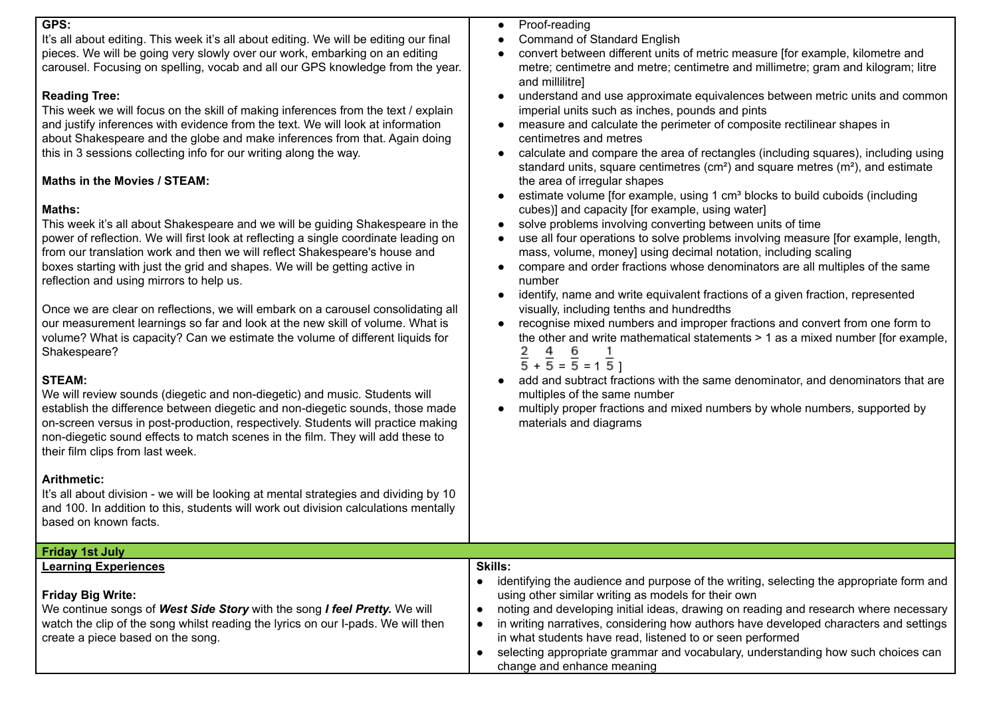#### **GPS:**

It's all about editing. This week it's all about editing. We will be editing our final pieces. We will be going very slowly over our work, embarking on an editing carousel. Focusing on spelling, vocab and all our GPS knowledge from the year.

### **Reading Tree:**

This week we will focus on the skill of making inferences from the text / explain and justify inferences with evidence from the text. We will look at information about Shakespeare and the globe and make inferences from that. Again doing this in 3 sessions collecting info for our writing along the way.

### **Maths in the Movies / STEAM:**

#### **Maths:**

This week it's all about Shakespeare and we will be guiding Shakespeare in the power of reflection. We will first look at reflecting a single coordinate leading on from our translation work and then we will reflect Shakespeare's house and boxes starting with just the grid and shapes. We will be getting active in reflection and using mirrors to help us.

Once we are clear on reflections, we will embark on a carousel consolidating all our measurement learnings so far and look at the new skill of volume. What is volume? What is capacity? Can we estimate the volume of different liquids for Shakespeare?

## **STEAM:**

We will review sounds (diegetic and non-diegetic) and music. Students will establish the difference between diegetic and non-diegetic sounds, those made on-screen versus in post-production, respectively. Students will practice making non-diegetic sound effects to match scenes in the film. They will add these to their film clips from last week.

#### **Arithmetic:**

It's all about division - we will be looking at mental strategies and dividing by 10 and 100. In addition to this, students will work out division calculations mentally based on known facts.

- Proof-reading
- Command of Standard English
- convert between different units of metric measure [for example, kilometre and metre; centimetre and metre; centimetre and millimetre; gram and kilogram; litre and millilitre]
- understand and use approximate equivalences between metric units and common imperial units such as inches, pounds and pints
- measure and calculate the perimeter of composite rectilinear shapes in centimetres and metres
- calculate and compare the area of rectangles (including squares), including using standard units, square centimetres (cm<sup>2</sup>) and square metres ( $m<sup>2</sup>$ ), and estimate the area of irregular shapes
- estimate volume [for example, using 1 cm<sup>3</sup> blocks to build cuboids (including cubes)] and capacity [for example, using water]
- solve problems involving converting between units of time
- use all four operations to solve problems involving measure [for example, length, mass, volume, money] using decimal notation, including scaling
- compare and order fractions whose denominators are all multiples of the same number
- identify, name and write equivalent fractions of a given fraction, represented visually, including tenths and hundredths
- recognise mixed numbers and improper fractions and convert from one form to the other and write mathematical statements > 1 as a mixed number [for example,  $\frac{2}{5}$  +  $\frac{4}{5}$  =  $\frac{6}{5}$  = 1  $\frac{1}{5}$  ]
	-
- add and subtract fractions with the same denominator, and denominators that are multiples of the same number
- multiply proper fractions and mixed numbers by whole numbers, supported by materials and diagrams

| Friday 1st July                                                                                                                                                                                                         |                                                                                                                                                                                                                                                                                                                                                                                                                                                                                                                |
|-------------------------------------------------------------------------------------------------------------------------------------------------------------------------------------------------------------------------|----------------------------------------------------------------------------------------------------------------------------------------------------------------------------------------------------------------------------------------------------------------------------------------------------------------------------------------------------------------------------------------------------------------------------------------------------------------------------------------------------------------|
| <b>Learning Experiences</b>                                                                                                                                                                                             | <b>Skills:</b>                                                                                                                                                                                                                                                                                                                                                                                                                                                                                                 |
| Friday Big Write:<br>We continue songs of West Side Story with the song I feel Pretty. We will<br>watch the clip of the song whilst reading the lyrics on our I-pads. We will then<br>create a piece based on the song. | identifying the audience and purpose of the writing, selecting the appropriate form and<br>using other similar writing as models for their own<br>noting and developing initial ideas, drawing on reading and research where necessary<br>in writing narratives, considering how authors have developed characters and settings<br>in what students have read, listened to or seen performed<br>selecting appropriate grammar and vocabulary, understanding how such choices can<br>change and enhance meaning |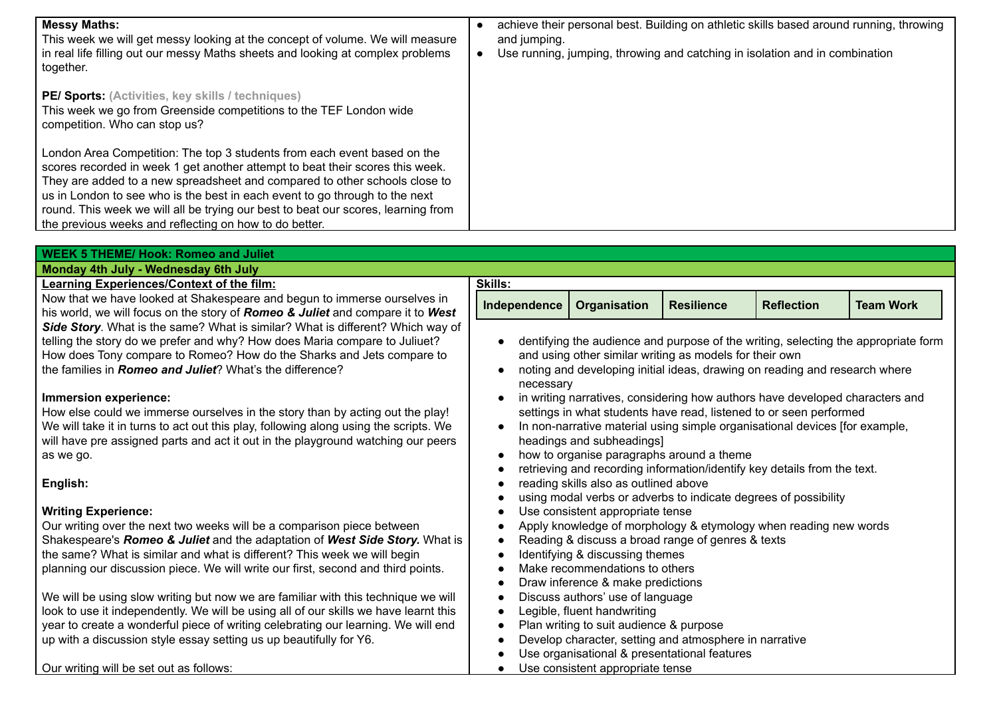| <b>Messy Maths:</b><br>This week we will get messy looking at the concept of volume. We will measure<br>in real life filling out our messy Maths sheets and looking at complex problems<br>together.                                                                                                                                                                                                                                                                  | achieve their personal best. Building on athletic skills based around running, throwing<br>and jumping.<br>Use running, jumping, throwing and catching in isolation and in combination |
|-----------------------------------------------------------------------------------------------------------------------------------------------------------------------------------------------------------------------------------------------------------------------------------------------------------------------------------------------------------------------------------------------------------------------------------------------------------------------|----------------------------------------------------------------------------------------------------------------------------------------------------------------------------------------|
| PE/ Sports: (Activities, key skills / techniques)<br>This week we go from Greenside competitions to the TEF London wide<br>competition. Who can stop us?                                                                                                                                                                                                                                                                                                              |                                                                                                                                                                                        |
| London Area Competition: The top 3 students from each event based on the<br>scores recorded in week 1 get another attempt to beat their scores this week.<br>They are added to a new spreadsheet and compared to other schools close to<br>us in London to see who is the best in each event to go through to the next<br>round. This week we will all be trying our best to beat our scores, learning from<br>the previous weeks and reflecting on how to do better. |                                                                                                                                                                                        |

| <b>WEEK 5 THEME/ Hook: Romeo and Juliet</b>                                                                                                         |                                                                                                                                                                                                                                   |                                              |                                                                            |                   |                                                                                    |
|-----------------------------------------------------------------------------------------------------------------------------------------------------|-----------------------------------------------------------------------------------------------------------------------------------------------------------------------------------------------------------------------------------|----------------------------------------------|----------------------------------------------------------------------------|-------------------|------------------------------------------------------------------------------------|
| Monday 4th July - Wednesday 6th July                                                                                                                |                                                                                                                                                                                                                                   |                                              |                                                                            |                   |                                                                                    |
| <b>Learning Experiences/Context of the film:</b>                                                                                                    | <b>Skills:</b>                                                                                                                                                                                                                    |                                              |                                                                            |                   |                                                                                    |
| Now that we have looked at Shakespeare and begun to immerse ourselves in                                                                            | Independence                                                                                                                                                                                                                      | Organisation                                 | <b>Resilience</b>                                                          | <b>Reflection</b> | <b>Team Work</b>                                                                   |
| his world, we will focus on the story of Romeo & Juliet and compare it to West                                                                      |                                                                                                                                                                                                                                   |                                              |                                                                            |                   |                                                                                    |
| Side Story. What is the same? What is similar? What is different? Which way of                                                                      |                                                                                                                                                                                                                                   |                                              |                                                                            |                   |                                                                                    |
| telling the story do we prefer and why? How does Maria compare to Juliuet?<br>How does Tony compare to Romeo? How do the Sharks and Jets compare to |                                                                                                                                                                                                                                   |                                              | and using other similar writing as models for their own                    |                   | dentifying the audience and purpose of the writing, selecting the appropriate form |
| the families in <b>Romeo and Juliet</b> ? What's the difference?                                                                                    |                                                                                                                                                                                                                                   |                                              | noting and developing initial ideas, drawing on reading and research where |                   |                                                                                    |
|                                                                                                                                                     | necessary                                                                                                                                                                                                                         |                                              |                                                                            |                   |                                                                                    |
| Immersion experience:                                                                                                                               | in writing narratives, considering how authors have developed characters and<br>settings in what students have read, listened to or seen performed<br>In non-narrative material using simple organisational devices [for example, |                                              |                                                                            |                   |                                                                                    |
| How else could we immerse ourselves in the story than by acting out the play!                                                                       |                                                                                                                                                                                                                                   |                                              |                                                                            |                   |                                                                                    |
| We will take it in turns to act out this play, following along using the scripts. We                                                                |                                                                                                                                                                                                                                   |                                              |                                                                            |                   |                                                                                    |
| will have pre assigned parts and act it out in the playground watching our peers                                                                    | headings and subheadings]                                                                                                                                                                                                         |                                              |                                                                            |                   |                                                                                    |
| as we go.                                                                                                                                           | how to organise paragraphs around a theme<br>retrieving and recording information/identify key details from the text.                                                                                                             |                                              |                                                                            |                   |                                                                                    |
|                                                                                                                                                     |                                                                                                                                                                                                                                   |                                              |                                                                            |                   |                                                                                    |
| English:                                                                                                                                            |                                                                                                                                                                                                                                   | reading skills also as outlined above        |                                                                            |                   |                                                                                    |
| <b>Writing Experience:</b>                                                                                                                          |                                                                                                                                                                                                                                   | Use consistent appropriate tense             | using modal verbs or adverbs to indicate degrees of possibility            |                   |                                                                                    |
| Our writing over the next two weeks will be a comparison piece between                                                                              |                                                                                                                                                                                                                                   |                                              | Apply knowledge of morphology & etymology when reading new words           |                   |                                                                                    |
| Shakespeare's Romeo & Juliet and the adaptation of West Side Story. What is                                                                         |                                                                                                                                                                                                                                   |                                              | Reading & discuss a broad range of genres & texts                          |                   |                                                                                    |
| the same? What is similar and what is different? This week we will begin                                                                            |                                                                                                                                                                                                                                   | Identifying & discussing themes              |                                                                            |                   |                                                                                    |
| planning our discussion piece. We will write our first, second and third points.                                                                    |                                                                                                                                                                                                                                   | Make recommendations to others               |                                                                            |                   |                                                                                    |
|                                                                                                                                                     |                                                                                                                                                                                                                                   | Draw inference & make predictions            |                                                                            |                   |                                                                                    |
| We will be using slow writing but now we are familiar with this technique we will                                                                   |                                                                                                                                                                                                                                   | Discuss authors' use of language             |                                                                            |                   |                                                                                    |
| look to use it independently. We will be using all of our skills we have learnt this                                                                |                                                                                                                                                                                                                                   | Legible, fluent handwriting                  |                                                                            |                   |                                                                                    |
| year to create a wonderful piece of writing celebrating our learning. We will end                                                                   |                                                                                                                                                                                                                                   | Plan writing to suit audience & purpose      |                                                                            |                   |                                                                                    |
| up with a discussion style essay setting us up beautifully for Y6.                                                                                  |                                                                                                                                                                                                                                   |                                              | Develop character, setting and atmosphere in narrative                     |                   |                                                                                    |
|                                                                                                                                                     |                                                                                                                                                                                                                                   | Use organisational & presentational features |                                                                            |                   |                                                                                    |
| Our writing will be set out as follows:                                                                                                             |                                                                                                                                                                                                                                   | Use consistent appropriate tense             |                                                                            |                   |                                                                                    |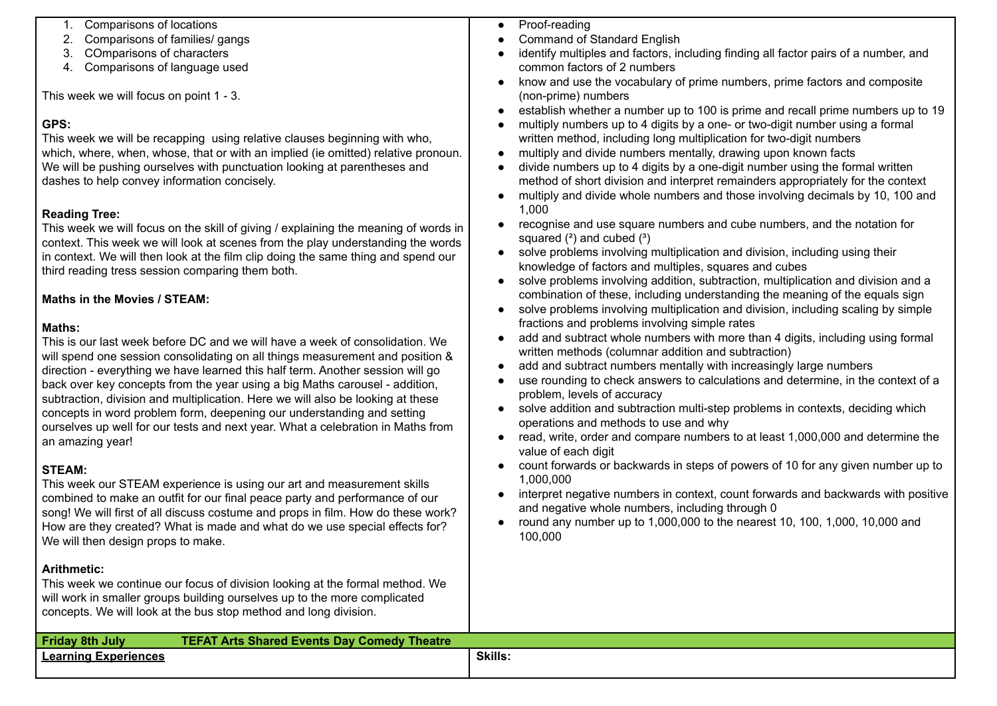| Comparisons of locations<br>1.<br>Comparisons of families/ gangs<br>2.                                                                                                                                                                                                                                                                                                                                                                                                                                                                                                                                                                                                                                                                                                                                                                                                                                                                                                                                               | Proof-reading<br>$\bullet$<br><b>Command of Standard English</b>                                                                                                                                                                                                                                                                                                                                                                                                                                                                                                                                                                                                                                                                                                                                                                                                                                                                                                                           |
|----------------------------------------------------------------------------------------------------------------------------------------------------------------------------------------------------------------------------------------------------------------------------------------------------------------------------------------------------------------------------------------------------------------------------------------------------------------------------------------------------------------------------------------------------------------------------------------------------------------------------------------------------------------------------------------------------------------------------------------------------------------------------------------------------------------------------------------------------------------------------------------------------------------------------------------------------------------------------------------------------------------------|--------------------------------------------------------------------------------------------------------------------------------------------------------------------------------------------------------------------------------------------------------------------------------------------------------------------------------------------------------------------------------------------------------------------------------------------------------------------------------------------------------------------------------------------------------------------------------------------------------------------------------------------------------------------------------------------------------------------------------------------------------------------------------------------------------------------------------------------------------------------------------------------------------------------------------------------------------------------------------------------|
| COmparisons of characters<br>3.                                                                                                                                                                                                                                                                                                                                                                                                                                                                                                                                                                                                                                                                                                                                                                                                                                                                                                                                                                                      | identify multiples and factors, including finding all factor pairs of a number, and                                                                                                                                                                                                                                                                                                                                                                                                                                                                                                                                                                                                                                                                                                                                                                                                                                                                                                        |
| 4. Comparisons of language used                                                                                                                                                                                                                                                                                                                                                                                                                                                                                                                                                                                                                                                                                                                                                                                                                                                                                                                                                                                      | common factors of 2 numbers                                                                                                                                                                                                                                                                                                                                                                                                                                                                                                                                                                                                                                                                                                                                                                                                                                                                                                                                                                |
|                                                                                                                                                                                                                                                                                                                                                                                                                                                                                                                                                                                                                                                                                                                                                                                                                                                                                                                                                                                                                      | know and use the vocabulary of prime numbers, prime factors and composite<br>$\bullet$                                                                                                                                                                                                                                                                                                                                                                                                                                                                                                                                                                                                                                                                                                                                                                                                                                                                                                     |
| This week we will focus on point 1 - 3.                                                                                                                                                                                                                                                                                                                                                                                                                                                                                                                                                                                                                                                                                                                                                                                                                                                                                                                                                                              | (non-prime) numbers                                                                                                                                                                                                                                                                                                                                                                                                                                                                                                                                                                                                                                                                                                                                                                                                                                                                                                                                                                        |
| GPS:<br>This week we will be recapping using relative clauses beginning with who,<br>which, where, when, whose, that or with an implied (ie omitted) relative pronoun.<br>We will be pushing ourselves with punctuation looking at parentheses and<br>dashes to help convey information concisely.                                                                                                                                                                                                                                                                                                                                                                                                                                                                                                                                                                                                                                                                                                                   | establish whether a number up to 100 is prime and recall prime numbers up to 19<br>multiply numbers up to 4 digits by a one- or two-digit number using a formal<br>written method, including long multiplication for two-digit numbers<br>multiply and divide numbers mentally, drawing upon known facts<br>divide numbers up to 4 digits by a one-digit number using the formal written<br>method of short division and interpret remainders appropriately for the context                                                                                                                                                                                                                                                                                                                                                                                                                                                                                                                |
|                                                                                                                                                                                                                                                                                                                                                                                                                                                                                                                                                                                                                                                                                                                                                                                                                                                                                                                                                                                                                      | multiply and divide whole numbers and those involving decimals by 10, 100 and<br>1,000                                                                                                                                                                                                                                                                                                                                                                                                                                                                                                                                                                                                                                                                                                                                                                                                                                                                                                     |
| <b>Reading Tree:</b><br>This week we will focus on the skill of giving / explaining the meaning of words in<br>context. This week we will look at scenes from the play understanding the words<br>in context. We will then look at the film clip doing the same thing and spend our<br>third reading tress session comparing them both.                                                                                                                                                                                                                                                                                                                                                                                                                                                                                                                                                                                                                                                                              | recognise and use square numbers and cube numbers, and the notation for<br>$\bullet$<br>squared $(2)$ and cubed $(3)$<br>solve problems involving multiplication and division, including using their<br>$\bullet$<br>knowledge of factors and multiples, squares and cubes<br>solve problems involving addition, subtraction, multiplication and division and a<br>$\bullet$                                                                                                                                                                                                                                                                                                                                                                                                                                                                                                                                                                                                               |
| <b>Maths in the Movies / STEAM:</b>                                                                                                                                                                                                                                                                                                                                                                                                                                                                                                                                                                                                                                                                                                                                                                                                                                                                                                                                                                                  | combination of these, including understanding the meaning of the equals sign<br>solve problems involving multiplication and division, including scaling by simple<br>$\bullet$                                                                                                                                                                                                                                                                                                                                                                                                                                                                                                                                                                                                                                                                                                                                                                                                             |
| Maths:<br>This is our last week before DC and we will have a week of consolidation. We<br>will spend one session consolidating on all things measurement and position &<br>direction - everything we have learned this half term. Another session will go<br>back over key concepts from the year using a big Maths carousel - addition,<br>subtraction, division and multiplication. Here we will also be looking at these<br>concepts in word problem form, deepening our understanding and setting<br>ourselves up well for our tests and next year. What a celebration in Maths from<br>an amazing year!<br><b>STEAM:</b><br>This week our STEAM experience is using our art and measurement skills<br>combined to make an outfit for our final peace party and performance of our<br>song! We will first of all discuss costume and props in film. How do these work?<br>How are they created? What is made and what do we use special effects for?<br>We will then design props to make.<br><b>Arithmetic:</b> | fractions and problems involving simple rates<br>add and subtract whole numbers with more than 4 digits, including using formal<br>$\bullet$<br>written methods (columnar addition and subtraction)<br>add and subtract numbers mentally with increasingly large numbers<br>use rounding to check answers to calculations and determine, in the context of a<br>problem, levels of accuracy<br>solve addition and subtraction multi-step problems in contexts, deciding which<br>$\bullet$<br>operations and methods to use and why<br>read, write, order and compare numbers to at least 1,000,000 and determine the<br>value of each digit<br>count forwards or backwards in steps of powers of 10 for any given number up to<br>1,000,000<br>interpret negative numbers in context, count forwards and backwards with positive<br>$\bullet$<br>and negative whole numbers, including through 0<br>round any number up to 1,000,000 to the nearest 10, 100, 1,000, 10,000 and<br>100,000 |
| This week we continue our focus of division looking at the formal method. We<br>will work in smaller groups building ourselves up to the more complicated<br>concepts. We will look at the bus stop method and long division.                                                                                                                                                                                                                                                                                                                                                                                                                                                                                                                                                                                                                                                                                                                                                                                        |                                                                                                                                                                                                                                                                                                                                                                                                                                                                                                                                                                                                                                                                                                                                                                                                                                                                                                                                                                                            |
| <b>TEFAT Arts Shared Events Day Comedy Theatre</b><br><b>Friday 8th July</b>                                                                                                                                                                                                                                                                                                                                                                                                                                                                                                                                                                                                                                                                                                                                                                                                                                                                                                                                         |                                                                                                                                                                                                                                                                                                                                                                                                                                                                                                                                                                                                                                                                                                                                                                                                                                                                                                                                                                                            |
| <b>Learning Experiences</b>                                                                                                                                                                                                                                                                                                                                                                                                                                                                                                                                                                                                                                                                                                                                                                                                                                                                                                                                                                                          | <b>Skills:</b>                                                                                                                                                                                                                                                                                                                                                                                                                                                                                                                                                                                                                                                                                                                                                                                                                                                                                                                                                                             |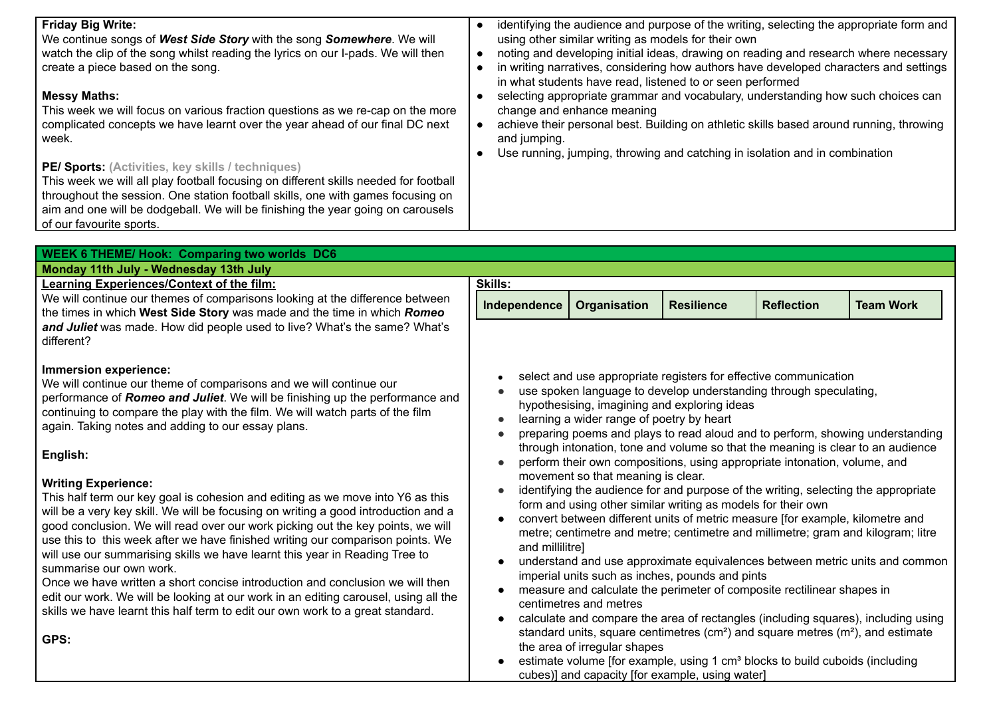| <b>Friday Big Write:</b><br>We continue songs of West Side Story with the song Somewhere. We will<br>watch the clip of the song whilst reading the lyrics on our I-pads. We will then<br>create a piece based on the song.<br><b>Messy Maths:</b><br>This week we will focus on various fraction questions as we re-cap on the more<br>complicated concepts we have learnt over the year ahead of our final DC next<br>week.<br>PE/ Sports: (Activities, key skills / techniques)<br>This week we will all play football focusing on different skills needed for football<br>throughout the session. One station football skills, one with games focusing on<br>aim and one will be dodgeball. We will be finishing the year going on carousels<br>of our favourite sports.                                                                                                                                                                                                                                                                                                           | $\bullet$<br>$\bullet$<br>and jumping.                                                                                                                                                                                                                                                                                                                                                                                                                                                                                                                                                                                                                                                                                                                                                                                                                                                                                                                                                                                                                                                                                                                                                                                                                                                                                                                                                                                                                                              | using other similar writing as models for their own<br>in what students have read, listened to or seen performed<br>change and enhance meaning<br>Use running, jumping, throwing and catching in isolation and in combination |                   |                   | identifying the audience and purpose of the writing, selecting the appropriate form and<br>noting and developing initial ideas, drawing on reading and research where necessary<br>in writing narratives, considering how authors have developed characters and settings<br>selecting appropriate grammar and vocabulary, understanding how such choices can<br>achieve their personal best. Building on athletic skills based around running, throwing |
|---------------------------------------------------------------------------------------------------------------------------------------------------------------------------------------------------------------------------------------------------------------------------------------------------------------------------------------------------------------------------------------------------------------------------------------------------------------------------------------------------------------------------------------------------------------------------------------------------------------------------------------------------------------------------------------------------------------------------------------------------------------------------------------------------------------------------------------------------------------------------------------------------------------------------------------------------------------------------------------------------------------------------------------------------------------------------------------|-------------------------------------------------------------------------------------------------------------------------------------------------------------------------------------------------------------------------------------------------------------------------------------------------------------------------------------------------------------------------------------------------------------------------------------------------------------------------------------------------------------------------------------------------------------------------------------------------------------------------------------------------------------------------------------------------------------------------------------------------------------------------------------------------------------------------------------------------------------------------------------------------------------------------------------------------------------------------------------------------------------------------------------------------------------------------------------------------------------------------------------------------------------------------------------------------------------------------------------------------------------------------------------------------------------------------------------------------------------------------------------------------------------------------------------------------------------------------------------|-------------------------------------------------------------------------------------------------------------------------------------------------------------------------------------------------------------------------------|-------------------|-------------------|---------------------------------------------------------------------------------------------------------------------------------------------------------------------------------------------------------------------------------------------------------------------------------------------------------------------------------------------------------------------------------------------------------------------------------------------------------|
|                                                                                                                                                                                                                                                                                                                                                                                                                                                                                                                                                                                                                                                                                                                                                                                                                                                                                                                                                                                                                                                                                       |                                                                                                                                                                                                                                                                                                                                                                                                                                                                                                                                                                                                                                                                                                                                                                                                                                                                                                                                                                                                                                                                                                                                                                                                                                                                                                                                                                                                                                                                                     |                                                                                                                                                                                                                               |                   |                   |                                                                                                                                                                                                                                                                                                                                                                                                                                                         |
| <b>WEEK 6 THEME/ Hook: Comparing two worlds DC6</b>                                                                                                                                                                                                                                                                                                                                                                                                                                                                                                                                                                                                                                                                                                                                                                                                                                                                                                                                                                                                                                   |                                                                                                                                                                                                                                                                                                                                                                                                                                                                                                                                                                                                                                                                                                                                                                                                                                                                                                                                                                                                                                                                                                                                                                                                                                                                                                                                                                                                                                                                                     |                                                                                                                                                                                                                               |                   |                   |                                                                                                                                                                                                                                                                                                                                                                                                                                                         |
| Monday 11th July - Wednesday 13th July<br><b>Learning Experiences/Context of the film:</b>                                                                                                                                                                                                                                                                                                                                                                                                                                                                                                                                                                                                                                                                                                                                                                                                                                                                                                                                                                                            | <b>Skills:</b>                                                                                                                                                                                                                                                                                                                                                                                                                                                                                                                                                                                                                                                                                                                                                                                                                                                                                                                                                                                                                                                                                                                                                                                                                                                                                                                                                                                                                                                                      |                                                                                                                                                                                                                               |                   |                   |                                                                                                                                                                                                                                                                                                                                                                                                                                                         |
| We will continue our themes of comparisons looking at the difference between<br>the times in which West Side Story was made and the time in which Romeo                                                                                                                                                                                                                                                                                                                                                                                                                                                                                                                                                                                                                                                                                                                                                                                                                                                                                                                               | Independence                                                                                                                                                                                                                                                                                                                                                                                                                                                                                                                                                                                                                                                                                                                                                                                                                                                                                                                                                                                                                                                                                                                                                                                                                                                                                                                                                                                                                                                                        | Organisation                                                                                                                                                                                                                  | <b>Resilience</b> | <b>Reflection</b> | <b>Team Work</b>                                                                                                                                                                                                                                                                                                                                                                                                                                        |
| and Juliet was made. How did people used to live? What's the same? What's<br>different?                                                                                                                                                                                                                                                                                                                                                                                                                                                                                                                                                                                                                                                                                                                                                                                                                                                                                                                                                                                               |                                                                                                                                                                                                                                                                                                                                                                                                                                                                                                                                                                                                                                                                                                                                                                                                                                                                                                                                                                                                                                                                                                                                                                                                                                                                                                                                                                                                                                                                                     |                                                                                                                                                                                                                               |                   |                   |                                                                                                                                                                                                                                                                                                                                                                                                                                                         |
| Immersion experience:<br>We will continue our theme of comparisons and we will continue our<br>performance of Romeo and Juliet. We will be finishing up the performance and<br>continuing to compare the play with the film. We will watch parts of the film<br>again. Taking notes and adding to our essay plans.<br>English:<br><b>Writing Experience:</b><br>This half term our key goal is cohesion and editing as we move into Y6 as this<br>will be a very key skill. We will be focusing on writing a good introduction and a<br>good conclusion. We will read over our work picking out the key points, we will<br>use this to this week after we have finished writing our comparison points. We<br>will use our summarising skills we have learnt this year in Reading Tree to<br>summarise our own work.<br>Once we have written a short concise introduction and conclusion we will then<br>edit our work. We will be looking at our work in an editing carousel, using all the<br>skills we have learnt this half term to edit our own work to a great standard.<br>GPS: | select and use appropriate registers for effective communication<br>use spoken language to develop understanding through speculating,<br>hypothesising, imagining and exploring ideas<br>learning a wider range of poetry by heart<br>preparing poems and plays to read aloud and to perform, showing understanding<br>through intonation, tone and volume so that the meaning is clear to an audience<br>perform their own compositions, using appropriate intonation, volume, and<br>movement so that meaning is clear.<br>identifying the audience for and purpose of the writing, selecting the appropriate<br>form and using other similar writing as models for their own<br>convert between different units of metric measure [for example, kilometre and<br>metre; centimetre and metre; centimetre and millimetre; gram and kilogram; litre<br>and millilitre]<br>understand and use approximate equivalences between metric units and common<br>imperial units such as inches, pounds and pints<br>measure and calculate the perimeter of composite rectilinear shapes in<br>centimetres and metres<br>calculate and compare the area of rectangles (including squares), including using<br>standard units, square centimetres (cm <sup>2</sup> ) and square metres ( $m2$ ), and estimate<br>the area of irregular shapes<br>estimate volume [for example, using 1 cm <sup>3</sup> blocks to build cuboids (including<br>cubes)] and capacity [for example, using water] |                                                                                                                                                                                                                               |                   |                   |                                                                                                                                                                                                                                                                                                                                                                                                                                                         |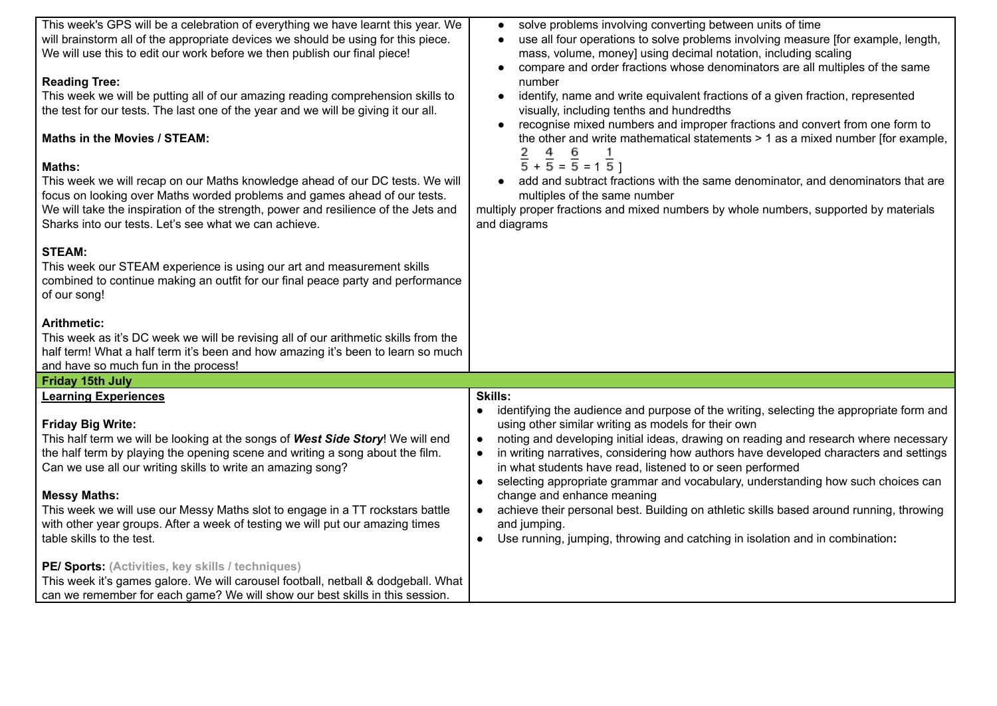| This week's GPS will be a celebration of everything we have learnt this year. We                                                                                                                                                                                                                                                                                                                                                                                                                                                                                                                                                                                                                                                                          | solve problems involving converting between units of time                                                                                                                                                                                                                                                                                                                                                                                                                                                                                                                                                                                                                                                                                                     |
|-----------------------------------------------------------------------------------------------------------------------------------------------------------------------------------------------------------------------------------------------------------------------------------------------------------------------------------------------------------------------------------------------------------------------------------------------------------------------------------------------------------------------------------------------------------------------------------------------------------------------------------------------------------------------------------------------------------------------------------------------------------|---------------------------------------------------------------------------------------------------------------------------------------------------------------------------------------------------------------------------------------------------------------------------------------------------------------------------------------------------------------------------------------------------------------------------------------------------------------------------------------------------------------------------------------------------------------------------------------------------------------------------------------------------------------------------------------------------------------------------------------------------------------|
| will brainstorm all of the appropriate devices we should be using for this piece.<br>We will use this to edit our work before we then publish our final piece!                                                                                                                                                                                                                                                                                                                                                                                                                                                                                                                                                                                            | use all four operations to solve problems involving measure [for example, length,<br>mass, volume, money] using decimal notation, including scaling                                                                                                                                                                                                                                                                                                                                                                                                                                                                                                                                                                                                           |
| <b>Reading Tree:</b><br>This week we will be putting all of our amazing reading comprehension skills to<br>the test for our tests. The last one of the year and we will be giving it our all.<br>Maths in the Movies / STEAM:<br><b>Maths:</b><br>This week we will recap on our Maths knowledge ahead of our DC tests. We will<br>focus on looking over Maths worded problems and games ahead of our tests.<br>We will take the inspiration of the strength, power and resilience of the Jets and<br>Sharks into our tests. Let's see what we can achieve.<br><b>STEAM:</b><br>This week our STEAM experience is using our art and measurement skills<br>combined to continue making an outfit for our final peace party and performance<br>of our song! | compare and order fractions whose denominators are all multiples of the same<br>number<br>identify, name and write equivalent fractions of a given fraction, represented<br>visually, including tenths and hundredths<br>recognise mixed numbers and improper fractions and convert from one form to<br>the other and write mathematical statements > 1 as a mixed number [for example,<br>$\frac{2}{5}$ + $\frac{4}{5}$ = $\frac{6}{5}$ = 1 $\frac{1}{5}$ ]<br>add and subtract fractions with the same denominator, and denominators that are<br>multiples of the same number<br>multiply proper fractions and mixed numbers by whole numbers, supported by materials<br>and diagrams                                                                       |
| <b>Arithmetic:</b><br>This week as it's DC week we will be revising all of our arithmetic skills from the<br>half term! What a half term it's been and how amazing it's been to learn so much<br>and have so much fun in the process!                                                                                                                                                                                                                                                                                                                                                                                                                                                                                                                     |                                                                                                                                                                                                                                                                                                                                                                                                                                                                                                                                                                                                                                                                                                                                                               |
| Friday 15th July                                                                                                                                                                                                                                                                                                                                                                                                                                                                                                                                                                                                                                                                                                                                          |                                                                                                                                                                                                                                                                                                                                                                                                                                                                                                                                                                                                                                                                                                                                                               |
| <b>Learning Experiences</b>                                                                                                                                                                                                                                                                                                                                                                                                                                                                                                                                                                                                                                                                                                                               | <b>Skills:</b>                                                                                                                                                                                                                                                                                                                                                                                                                                                                                                                                                                                                                                                                                                                                                |
| <b>Friday Big Write:</b><br>This half term we will be looking at the songs of West Side Story! We will end<br>the half term by playing the opening scene and writing a song about the film.<br>Can we use all our writing skills to write an amazing song?<br><b>Messy Maths:</b><br>This week we will use our Messy Maths slot to engage in a TT rockstars battle<br>with other year groups. After a week of testing we will put our amazing times<br>table skills to the test.                                                                                                                                                                                                                                                                          | identifying the audience and purpose of the writing, selecting the appropriate form and<br>using other similar writing as models for their own<br>noting and developing initial ideas, drawing on reading and research where necessary<br>$\bullet$<br>in writing narratives, considering how authors have developed characters and settings<br>$\bullet$<br>in what students have read, listened to or seen performed<br>selecting appropriate grammar and vocabulary, understanding how such choices can<br>$\bullet$<br>change and enhance meaning<br>achieve their personal best. Building on athletic skills based around running, throwing<br>$\bullet$<br>and jumping.<br>Use running, jumping, throwing and catching in isolation and in combination: |
| PE/ Sports: (Activities, key skills / techniques)<br>This week it's games galore. We will carousel football, netball & dodgeball. What<br>can we remember for each game? We will show our best skills in this session.                                                                                                                                                                                                                                                                                                                                                                                                                                                                                                                                    |                                                                                                                                                                                                                                                                                                                                                                                                                                                                                                                                                                                                                                                                                                                                                               |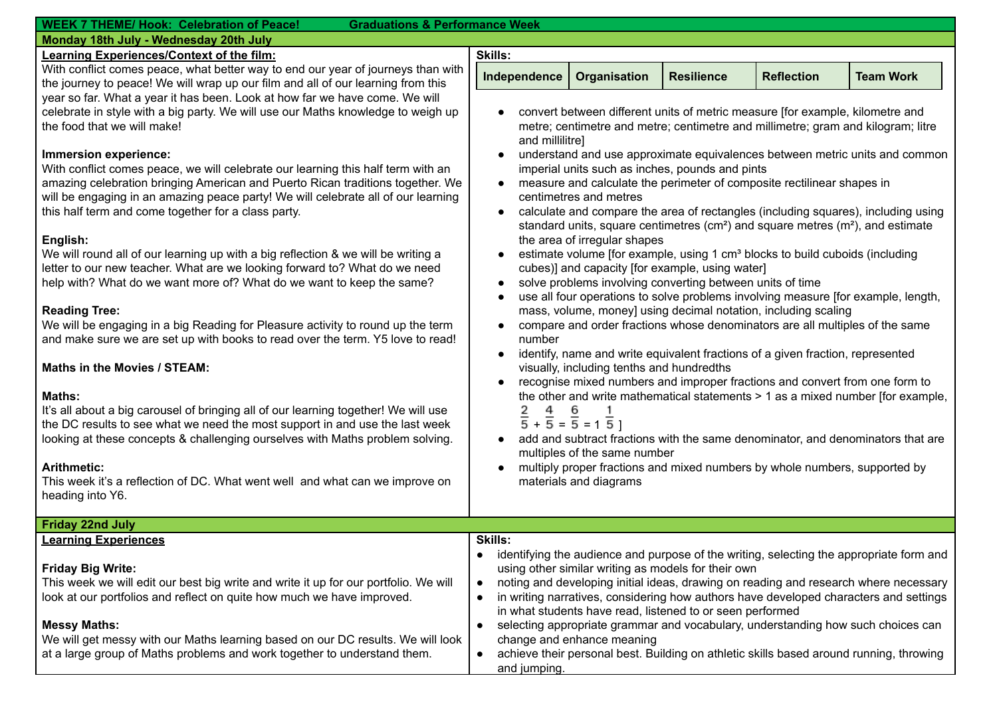| <b>WEEK 7 THEME/ Hook: Celebration of Peace!</b><br><b>Graduations &amp; Performance Week</b> |                                                                                                                                |                                                                                          |                   |                   |                                                                                         |
|-----------------------------------------------------------------------------------------------|--------------------------------------------------------------------------------------------------------------------------------|------------------------------------------------------------------------------------------|-------------------|-------------------|-----------------------------------------------------------------------------------------|
| Monday 18th July - Wednesday 20th July                                                        |                                                                                                                                |                                                                                          |                   |                   |                                                                                         |
| Learning Experiences/Context of the film:                                                     | <b>Skills:</b>                                                                                                                 |                                                                                          |                   |                   |                                                                                         |
| With conflict comes peace, what better way to end our year of journeys than with              |                                                                                                                                |                                                                                          | <b>Resilience</b> | <b>Reflection</b> | <b>Team Work</b>                                                                        |
| the journey to peace! We will wrap up our film and all of our learning from this              | Independence                                                                                                                   | Organisation                                                                             |                   |                   |                                                                                         |
| year so far. What a year it has been. Look at how far we have come. We will                   |                                                                                                                                |                                                                                          |                   |                   |                                                                                         |
| celebrate in style with a big party. We will use our Maths knowledge to weigh up              |                                                                                                                                | convert between different units of metric measure [for example, kilometre and            |                   |                   |                                                                                         |
| the food that we will make!                                                                   |                                                                                                                                |                                                                                          |                   |                   | metre; centimetre and metre; centimetre and millimetre; gram and kilogram; litre        |
|                                                                                               | and millilitre]                                                                                                                |                                                                                          |                   |                   |                                                                                         |
| Immersion experience:                                                                         |                                                                                                                                |                                                                                          |                   |                   |                                                                                         |
| With conflict comes peace, we will celebrate our learning this half term with an              | understand and use approximate equivalences between metric units and common<br>imperial units such as inches, pounds and pints |                                                                                          |                   |                   |                                                                                         |
| amazing celebration bringing American and Puerto Rican traditions together. We                |                                                                                                                                | measure and calculate the perimeter of composite rectilinear shapes in                   |                   |                   |                                                                                         |
|                                                                                               |                                                                                                                                | centimetres and metres                                                                   |                   |                   |                                                                                         |
| will be engaging in an amazing peace party! We will celebrate all of our learning             |                                                                                                                                |                                                                                          |                   |                   |                                                                                         |
| this half term and come together for a class party.                                           | $\bullet$                                                                                                                      |                                                                                          |                   |                   | calculate and compare the area of rectangles (including squares), including using       |
|                                                                                               |                                                                                                                                |                                                                                          |                   |                   | standard units, square centimetres ( $cm2$ ) and square metres ( $m2$ ), and estimate   |
| English:                                                                                      |                                                                                                                                | the area of irregular shapes                                                             |                   |                   |                                                                                         |
| We will round all of our learning up with a big reflection & we will be writing a             |                                                                                                                                | estimate volume [for example, using 1 cm <sup>3</sup> blocks to build cuboids (including |                   |                   |                                                                                         |
| letter to our new teacher. What are we looking forward to? What do we need                    | cubes)] and capacity [for example, using water]<br>solve problems involving converting between units of time                   |                                                                                          |                   |                   |                                                                                         |
| help with? What do we want more of? What do we want to keep the same?                         |                                                                                                                                |                                                                                          |                   |                   |                                                                                         |
|                                                                                               |                                                                                                                                |                                                                                          |                   |                   | use all four operations to solve problems involving measure [for example, length,       |
| <b>Reading Tree:</b>                                                                          | mass, volume, money] using decimal notation, including scaling                                                                 |                                                                                          |                   |                   |                                                                                         |
| We will be engaging in a big Reading for Pleasure activity to round up the term               |                                                                                                                                |                                                                                          |                   |                   | compare and order fractions whose denominators are all multiples of the same            |
| and make sure we are set up with books to read over the term. Y5 love to read!                | number                                                                                                                         |                                                                                          |                   |                   |                                                                                         |
|                                                                                               | $\bullet$                                                                                                                      | identify, name and write equivalent fractions of a given fraction, represented           |                   |                   |                                                                                         |
| <b>Maths in the Movies / STEAM:</b>                                                           |                                                                                                                                | visually, including tenths and hundredths                                                |                   |                   |                                                                                         |
|                                                                                               |                                                                                                                                |                                                                                          |                   |                   | recognise mixed numbers and improper fractions and convert from one form to             |
| <b>Maths:</b>                                                                                 |                                                                                                                                |                                                                                          |                   |                   | the other and write mathematical statements > 1 as a mixed number [for example,         |
| It's all about a big carousel of bringing all of our learning together! We will use           |                                                                                                                                |                                                                                          |                   |                   |                                                                                         |
| the DC results to see what we need the most support in and use the last week                  |                                                                                                                                | $\frac{2}{5}$ + $\frac{4}{5}$ = $\frac{6}{5}$ = 1 $\frac{1}{5}$ ]                        |                   |                   |                                                                                         |
| looking at these concepts & challenging ourselves with Maths problem solving.                 |                                                                                                                                |                                                                                          |                   |                   | add and subtract fractions with the same denominator, and denominators that are         |
|                                                                                               |                                                                                                                                | multiples of the same number                                                             |                   |                   |                                                                                         |
| <b>Arithmetic:</b>                                                                            |                                                                                                                                | multiply proper fractions and mixed numbers by whole numbers, supported by               |                   |                   |                                                                                         |
|                                                                                               |                                                                                                                                |                                                                                          |                   |                   |                                                                                         |
| This week it's a reflection of DC. What went well and what can we improve on                  |                                                                                                                                | materials and diagrams                                                                   |                   |                   |                                                                                         |
| heading into Y6.                                                                              |                                                                                                                                |                                                                                          |                   |                   |                                                                                         |
|                                                                                               |                                                                                                                                |                                                                                          |                   |                   |                                                                                         |
| <b>Friday 22nd July</b>                                                                       |                                                                                                                                |                                                                                          |                   |                   |                                                                                         |
| <u>Learning Experiences</u>                                                                   | <b>Skills:</b>                                                                                                                 |                                                                                          |                   |                   |                                                                                         |
|                                                                                               | $\bullet$                                                                                                                      |                                                                                          |                   |                   | identifying the audience and purpose of the writing, selecting the appropriate form and |
| <b>Friday Big Write:</b>                                                                      |                                                                                                                                | using other similar writing as models for their own                                      |                   |                   |                                                                                         |
| This week we will edit our best big write and write it up for our portfolio. We will          | $\bullet$                                                                                                                      |                                                                                          |                   |                   | noting and developing initial ideas, drawing on reading and research where necessary    |
| look at our portfolios and reflect on quite how much we have improved.                        | $\bullet$                                                                                                                      |                                                                                          |                   |                   | in writing narratives, considering how authors have developed characters and settings   |
|                                                                                               |                                                                                                                                | in what students have read, listened to or seen performed                                |                   |                   |                                                                                         |
| <b>Messy Maths:</b>                                                                           | $\bullet$                                                                                                                      |                                                                                          |                   |                   | selecting appropriate grammar and vocabulary, understanding how such choices can        |
| We will get messy with our Maths learning based on our DC results. We will look               |                                                                                                                                | change and enhance meaning                                                               |                   |                   |                                                                                         |
| at a large group of Maths problems and work together to understand them.                      | $\bullet$                                                                                                                      |                                                                                          |                   |                   | achieve their personal best. Building on athletic skills based around running, throwing |
|                                                                                               | and jumping.                                                                                                                   |                                                                                          |                   |                   |                                                                                         |